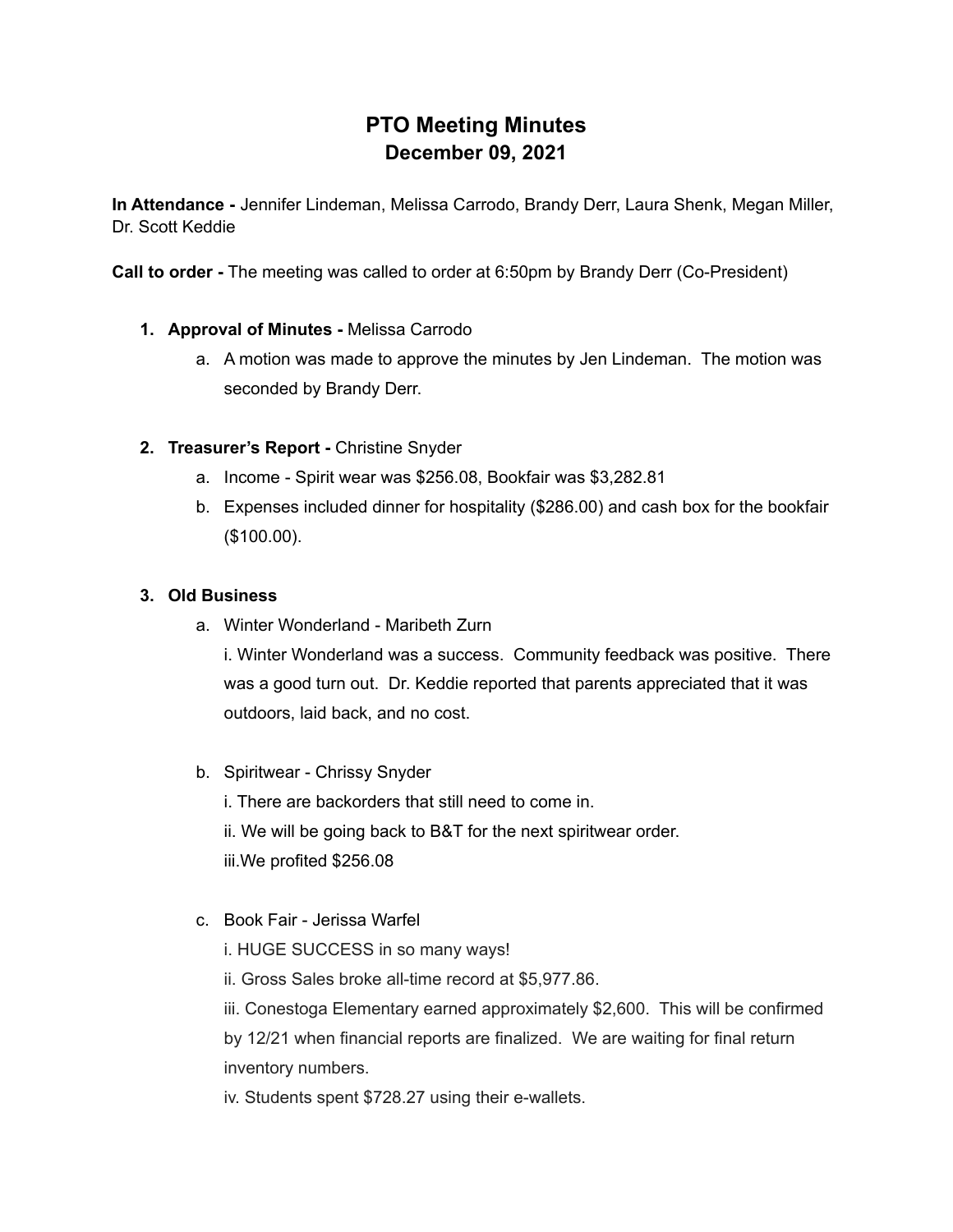# **PTO Meeting Minutes December 09, 2021**

**In Attendance -** Jennifer Lindeman, Melissa Carrodo, Brandy Derr, Laura Shenk, Megan Miller, Dr. Scott Keddie

**Call to order -** The meeting was called to order at 6:50pm by Brandy Derr (Co-President)

# **1. Approval of Minutes -** Melissa Carrodo

a. A motion was made to approve the minutes by Jen Lindeman. The motion was seconded by Brandy Derr.

# **2. Treasurer's Report -** Christine Snyder

- a. Income Spirit wear was \$256.08, Bookfair was \$3,282.81
- b. Expenses included dinner for hospitality (\$286.00) and cash box for the bookfair (\$100.00).

## **3. Old Business**

a. Winter Wonderland - Maribeth Zurn

i. Winter Wonderland was a success. Community feedback was positive. There was a good turn out. Dr. Keddie reported that parents appreciated that it was outdoors, laid back, and no cost.

b. Spiritwear - Chrissy Snyder

i. There are backorders that still need to come in. ii. We will be going back to B&T for the next spiritwear order. iii.We profited \$256.08

- c. Book Fair Jerissa Warfel
	- i. HUGE SUCCESS in so many ways!

ii. Gross Sales broke all-time record at \$5,977.86.

iii. Conestoga Elementary earned approximately \$2,600. This will be confirmed by 12/21 when financial reports are finalized. We are waiting for final return inventory numbers.

iv. Students spent \$728.27 using their e-wallets.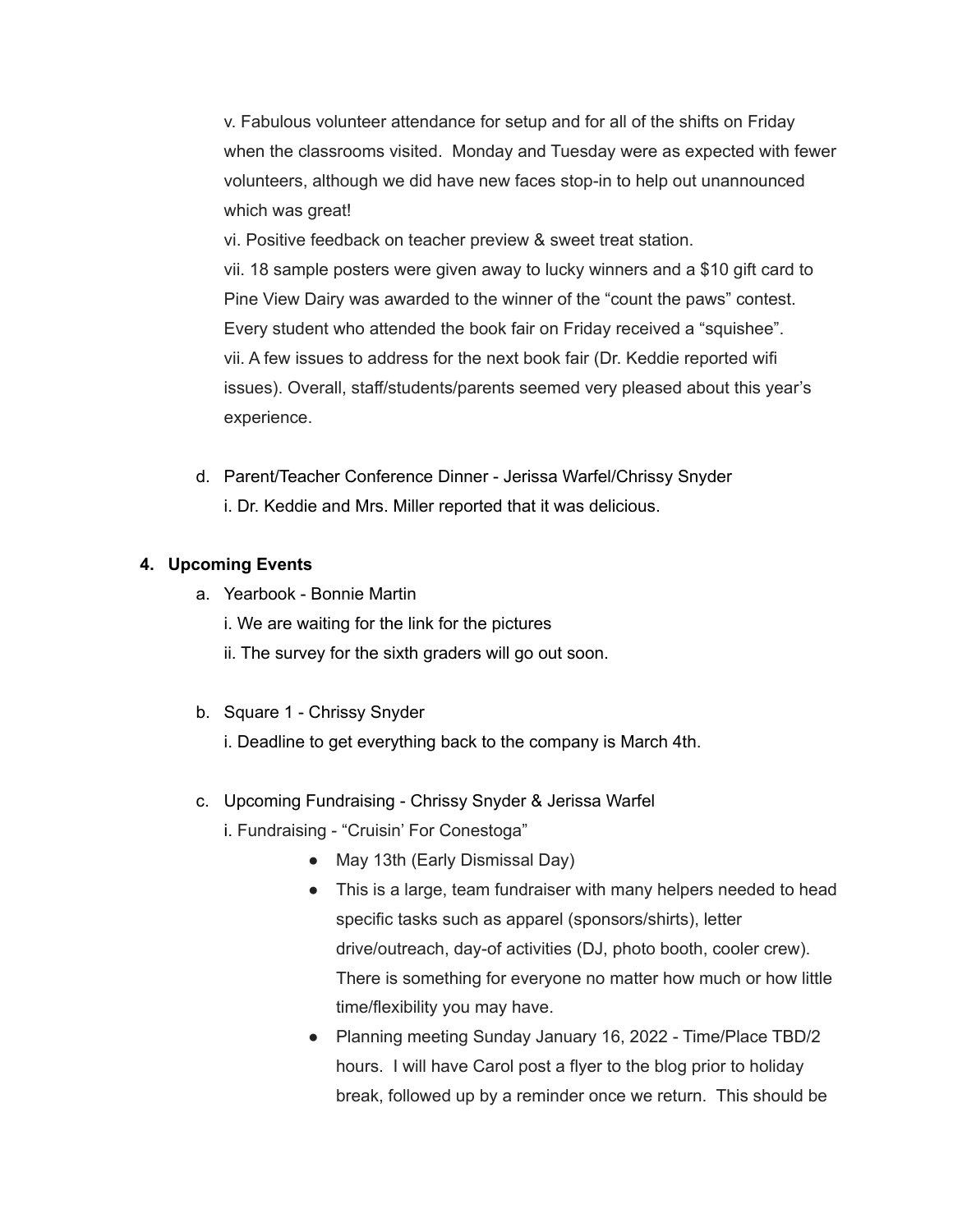v. Fabulous volunteer attendance for setup and for all of the shifts on Friday when the classrooms visited. Monday and Tuesday were as expected with fewer volunteers, although we did have new faces stop-in to help out unannounced which was great!

vi. Positive feedback on teacher preview & sweet treat station. vii. 18 sample posters were given away to lucky winners and a \$10 gift card to Pine View Dairy was awarded to the winner of the "count the paws" contest. Every student who attended the book fair on Friday received a "squishee". vii. A few issues to address for the next book fair (Dr. Keddie reported wifi issues). Overall, staff/students/parents seemed very pleased about this year's experience.

d. Parent/Teacher Conference Dinner - Jerissa Warfel/Chrissy Snyder i. Dr. Keddie and Mrs. Miller reported that it was delicious.

### **4. Upcoming Events**

- a. Yearbook Bonnie Martin
	- i. We are waiting for the link for the pictures
	- ii. The survey for the sixth graders will go out soon.
- b. Square 1 Chrissy Snyder
	- i. Deadline to get everything back to the company is March 4th.
- c. Upcoming Fundraising Chrissy Snyder & Jerissa Warfel
	- i. Fundraising "Cruisin' For Conestoga"
		- May 13th (Early Dismissal Day)
		- This is a large, team fundraiser with many helpers needed to head specific tasks such as apparel (sponsors/shirts), letter drive/outreach, day-of activities (DJ, photo booth, cooler crew). There is something for everyone no matter how much or how little time/flexibility you may have.
		- Planning meeting Sunday January 16, 2022 Time/Place TBD/2 hours. I will have Carol post a flyer to the blog prior to holiday break, followed up by a reminder once we return. This should be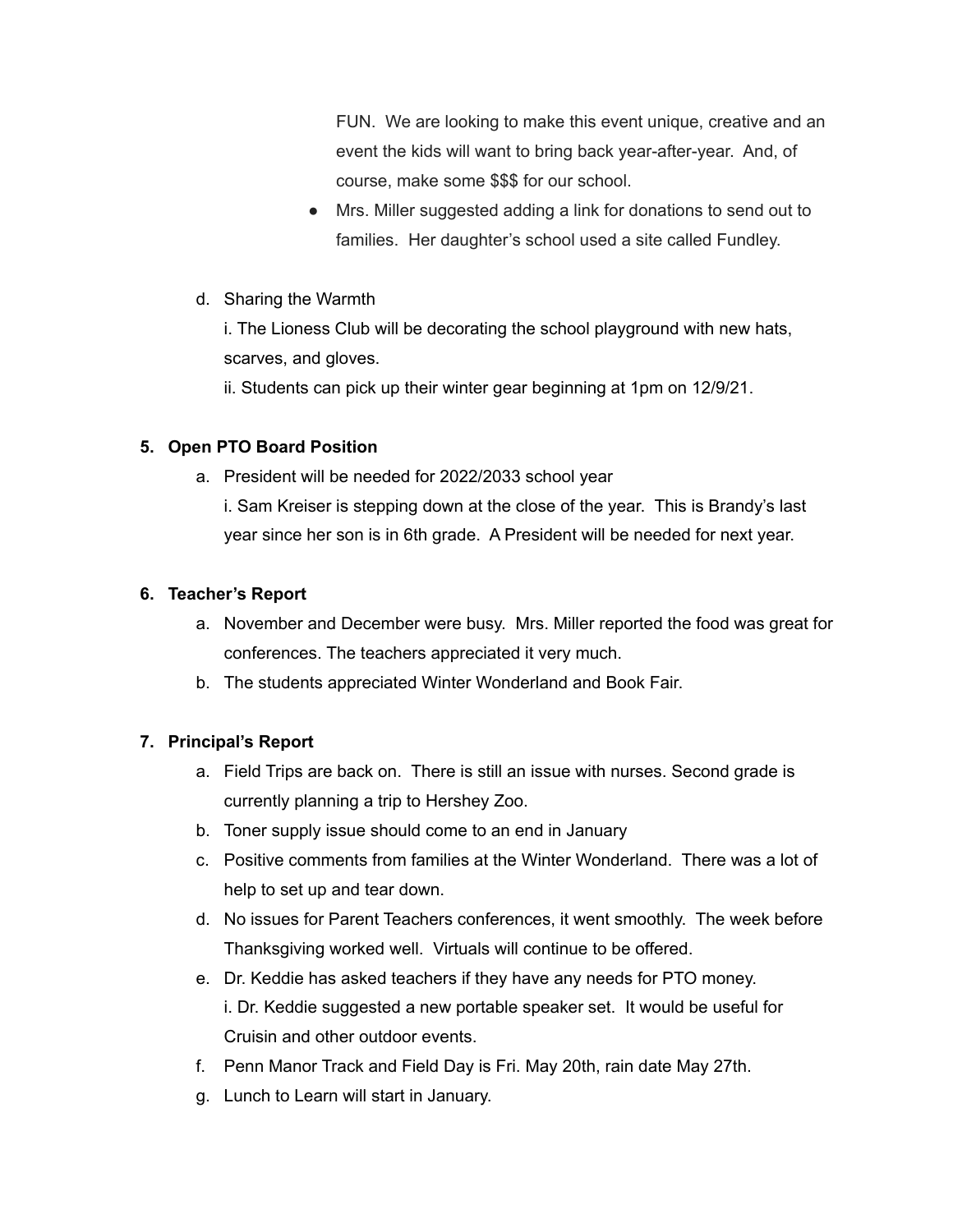FUN. We are looking to make this event unique, creative and an event the kids will want to bring back year-after-year. And, of course, make some \$\$\$ for our school.

- Mrs. Miller suggested adding a link for donations to send out to families. Her daughter's school used a site called Fundley.
- d. Sharing the Warmth

i. The Lioness Club will be decorating the school playground with new hats, scarves, and gloves.

ii. Students can pick up their winter gear beginning at 1pm on 12/9/21.

### **5. Open PTO Board Position**

a. President will be needed for 2022/2033 school year

i. Sam Kreiser is stepping down at the close of the year. This is Brandy's last year since her son is in 6th grade. A President will be needed for next year.

#### **6. Teacher's Report**

- a. November and December were busy. Mrs. Miller reported the food was great for conferences. The teachers appreciated it very much.
- b. The students appreciated Winter Wonderland and Book Fair.

#### **7. Principal's Report**

- a. Field Trips are back on. There is still an issue with nurses. Second grade is currently planning a trip to Hershey Zoo.
- b. Toner supply issue should come to an end in January
- c. Positive comments from families at the Winter Wonderland. There was a lot of help to set up and tear down.
- d. No issues for Parent Teachers conferences, it went smoothly. The week before Thanksgiving worked well. Virtuals will continue to be offered.
- e. Dr. Keddie has asked teachers if they have any needs for PTO money. i. Dr. Keddie suggested a new portable speaker set. It would be useful for Cruisin and other outdoor events.
- f. Penn Manor Track and Field Day is Fri. May 20th, rain date May 27th.
- g. Lunch to Learn will start in January.